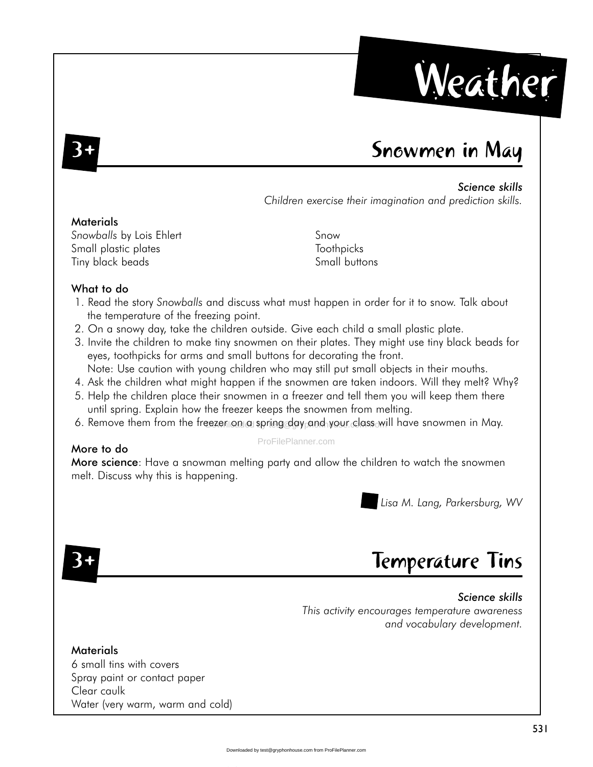

### Snowmen in May

#### Science skills

Children exercise their imagination and prediction skills.

#### **Materials**

Snowballs by Lois Ehlert Small plastic plates Tiny black beads

Snow Toothpicks Small buttons

#### What to do

- 1. Read the story Snowballs and discuss what must happen in order for it to snow. Talk about the temperature of the freezing point.
- 2. On a snowy day, take the children outside. Give each child a small plastic plate.
- 3. Invite the children to make tiny snowmen on their plates. They might use tiny black beads for eyes, toothpicks for arms and small buttons for decorating the front.
- Note: Use caution with young children who may still put small objects in their mouths.
- 4. Ask the children what might happen if the snowmen are taken indoors. Will they melt? Why?
- 5. Help the children place their snowmen in a freezer and tell them you will keep them there until spring. Explain how the freezer keeps the snowmen from melting.
- 6. Remove them from the freezer on a spring day and your class will have snowmen in May.

#### More to do

#### ProFilePlanner.com

More science: Have a snowman melting party and allow the children to watch the snowmen melt. Discuss why this is happening.

Lisa M. Lang, Parkersburg, WV

## Temperature Tins

#### Science skills This activity encourages temperature awareness and vocabulary development.

**Materials** 6 small tins with covers Spray paint or contact paper Clear caulk Water (very warm, warm and cold)